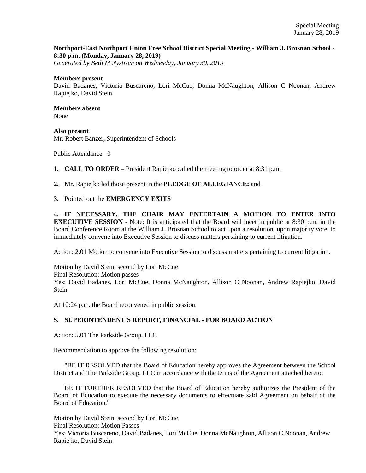## **Northport-East Northport Union Free School District Special Meeting - William J. Brosnan School - 8:30 p.m. (Monday, January 28, 2019)**

*Generated by Beth M Nystrom on Wednesday, January 30, 2019*

## **Members present**

David Badanes, Victoria Buscareno, Lori McCue, Donna McNaughton, Allison C Noonan, Andrew Rapiejko, David Stein

## **Members absent**  None

**Also present**  Mr. Robert Banzer, Superintendent of Schools

Public Attendance: 0

**1. CALL TO ORDER** – President Rapiejko called the meeting to order at 8:31 p.m.

**2.** Mr. Rapiejko led those present in the **PLEDGE OF ALLEGIANCE;** and

**3.** Pointed out the **EMERGENCY EXITS**

**4. IF NECESSARY, THE CHAIR MAY ENTERTAIN A MOTION TO ENTER INTO EXECUTIVE SESSION** - Note: It is anticipated that the Board will meet in public at 8:30 p.m. in the Board Conference Room at the William J. Brosnan School to act upon a resolution, upon majority vote, to immediately convene into Executive Session to discuss matters pertaining to current litigation.

Action: 2.01 Motion to convene into Executive Session to discuss matters pertaining to current litigation.

Motion by David Stein, second by Lori McCue. Final Resolution: Motion passes Yes: David Badanes, Lori McCue, Donna McNaughton, Allison C Noonan, Andrew Rapiejko, David Stein

At 10:24 p.m. the Board reconvened in public session.

## **5. SUPERINTENDENT'S REPORT, FINANCIAL - FOR BOARD ACTION**

Action: 5.01 The Parkside Group, LLC

Recommendation to approve the following resolution:

 "BE IT RESOLVED that the Board of Education hereby approves the Agreement between the School District and The Parkside Group, LLC in accordance with the terms of the Agreement attached hereto;

 BE IT FURTHER RESOLVED that the Board of Education hereby authorizes the President of the Board of Education to execute the necessary documents to effectuate said Agreement on behalf of the Board of Education."

Motion by David Stein, second by Lori McCue.

Final Resolution: Motion Passes

Yes: Victoria Buscareno, David Badanes, Lori McCue, Donna McNaughton, Allison C Noonan, Andrew Rapiejko, David Stein